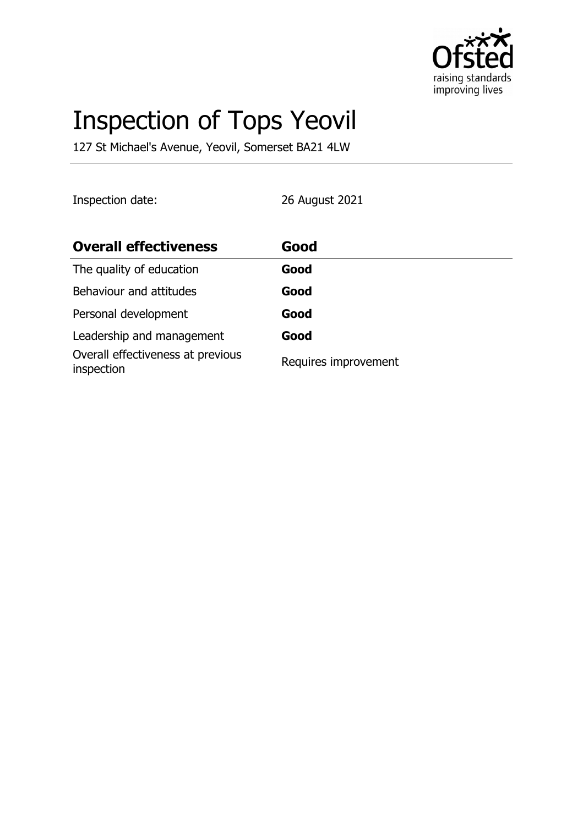

# Inspection of Tops Yeovil

127 St Michael's Avenue, Yeovil, Somerset BA21 4LW

Inspection date: 26 August 2021

| <b>Overall effectiveness</b>                    | Good                 |
|-------------------------------------------------|----------------------|
| The quality of education                        | Good                 |
| Behaviour and attitudes                         | Good                 |
| Personal development                            | Good                 |
| Leadership and management                       | Good                 |
| Overall effectiveness at previous<br>inspection | Requires improvement |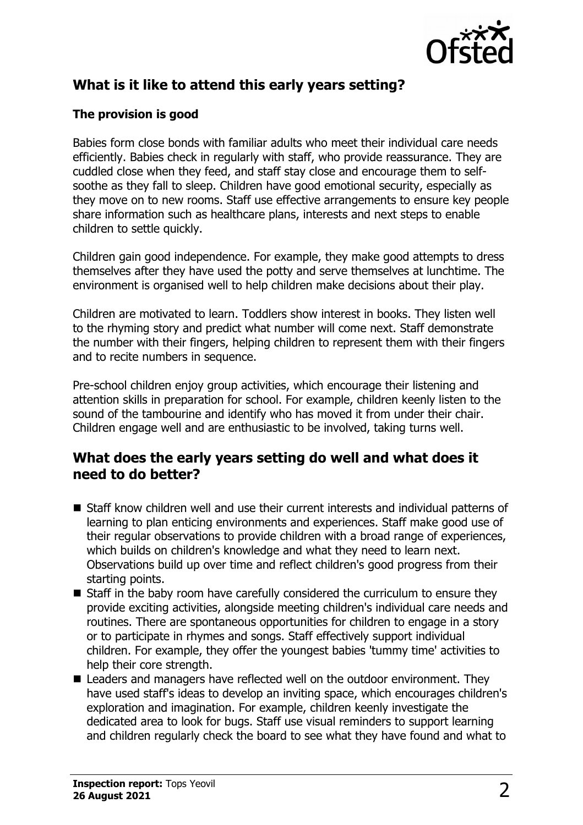

# **What is it like to attend this early years setting?**

#### **The provision is good**

Babies form close bonds with familiar adults who meet their individual care needs efficiently. Babies check in regularly with staff, who provide reassurance. They are cuddled close when they feed, and staff stay close and encourage them to selfsoothe as they fall to sleep. Children have good emotional security, especially as they move on to new rooms. Staff use effective arrangements to ensure key people share information such as healthcare plans, interests and next steps to enable children to settle quickly.

Children gain good independence. For example, they make good attempts to dress themselves after they have used the potty and serve themselves at lunchtime. The environment is organised well to help children make decisions about their play.

Children are motivated to learn. Toddlers show interest in books. They listen well to the rhyming story and predict what number will come next. Staff demonstrate the number with their fingers, helping children to represent them with their fingers and to recite numbers in sequence.

Pre-school children enjoy group activities, which encourage their listening and attention skills in preparation for school. For example, children keenly listen to the sound of the tambourine and identify who has moved it from under their chair. Children engage well and are enthusiastic to be involved, taking turns well.

#### **What does the early years setting do well and what does it need to do better?**

- $\blacksquare$  Staff know children well and use their current interests and individual patterns of learning to plan enticing environments and experiences. Staff make good use of their regular observations to provide children with a broad range of experiences, which builds on children's knowledge and what they need to learn next. Observations build up over time and reflect children's good progress from their starting points.
- $\blacksquare$  Staff in the baby room have carefully considered the curriculum to ensure they provide exciting activities, alongside meeting children's individual care needs and routines. There are spontaneous opportunities for children to engage in a story or to participate in rhymes and songs. Staff effectively support individual children. For example, they offer the youngest babies 'tummy time' activities to help their core strength.
- $\blacksquare$  Leaders and managers have reflected well on the outdoor environment. They have used staff's ideas to develop an inviting space, which encourages children's exploration and imagination. For example, children keenly investigate the dedicated area to look for bugs. Staff use visual reminders to support learning and children regularly check the board to see what they have found and what to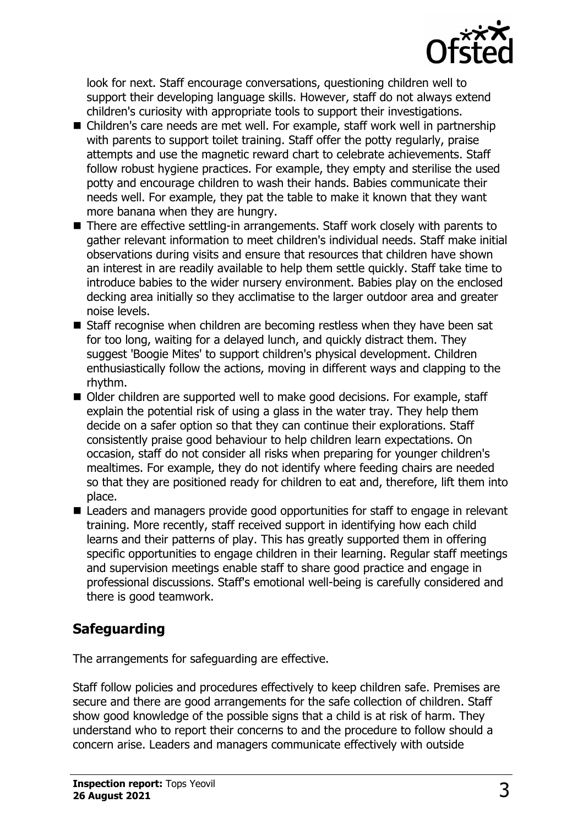

look for next. Staff encourage conversations, questioning children well to support their developing language skills. However, staff do not always extend children's curiosity with appropriate tools to support their investigations.

- Children's care needs are met well. For example, staff work well in partnership with parents to support toilet training. Staff offer the potty regularly, praise attempts and use the magnetic reward chart to celebrate achievements. Staff follow robust hygiene practices. For example, they empty and sterilise the used potty and encourage children to wash their hands. Babies communicate their needs well. For example, they pat the table to make it known that they want more banana when they are hungry.
- There are effective settling-in arrangements. Staff work closely with parents to gather relevant information to meet children's individual needs. Staff make initial observations during visits and ensure that resources that children have shown an interest in are readily available to help them settle quickly. Staff take time to introduce babies to the wider nursery environment. Babies play on the enclosed decking area initially so they acclimatise to the larger outdoor area and greater noise levels.
- $\blacksquare$  Staff recognise when children are becoming restless when they have been sat for too long, waiting for a delayed lunch, and quickly distract them. They suggest 'Boogie Mites' to support children's physical development. Children enthusiastically follow the actions, moving in different ways and clapping to the rhythm.
- Older children are supported well to make good decisions. For example, staff explain the potential risk of using a glass in the water tray. They help them decide on a safer option so that they can continue their explorations. Staff consistently praise good behaviour to help children learn expectations. On occasion, staff do not consider all risks when preparing for younger children's mealtimes. For example, they do not identify where feeding chairs are needed so that they are positioned ready for children to eat and, therefore, lift them into place.
- Leaders and managers provide good opportunities for staff to engage in relevant training. More recently, staff received support in identifying how each child learns and their patterns of play. This has greatly supported them in offering specific opportunities to engage children in their learning. Regular staff meetings and supervision meetings enable staff to share good practice and engage in professional discussions. Staff's emotional well-being is carefully considered and there is good teamwork.

# **Safeguarding**

The arrangements for safeguarding are effective.

Staff follow policies and procedures effectively to keep children safe. Premises are secure and there are good arrangements for the safe collection of children. Staff show good knowledge of the possible signs that a child is at risk of harm. They understand who to report their concerns to and the procedure to follow should a concern arise. Leaders and managers communicate effectively with outside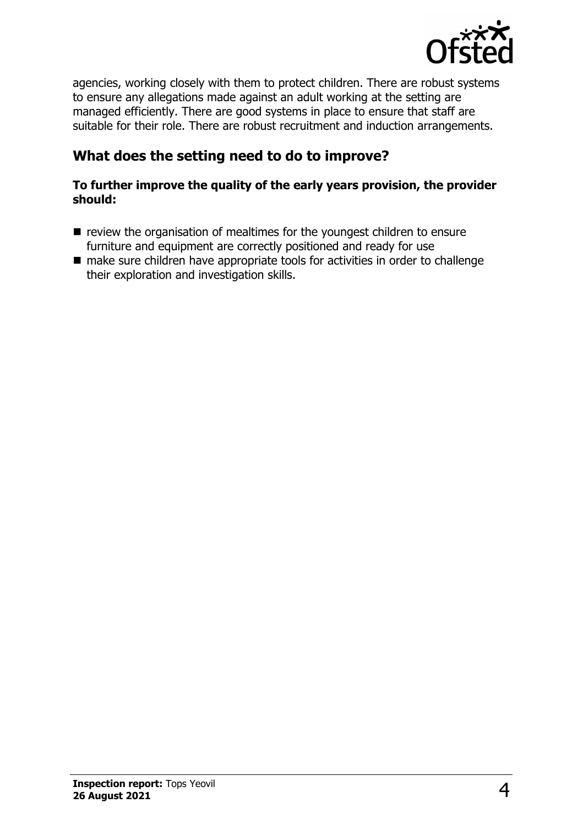

agencies, working closely with them to protect children. There are robust systems to ensure any allegations made against an adult working at the setting are managed efficiently. There are good systems in place to ensure that staff are suitable for their role. There are robust recruitment and induction arrangements.

# **What does the setting need to do to improve?**

#### **To further improve the quality of the early years provision, the provider should:**

- $\blacksquare$  review the organisation of mealtimes for the youngest children to ensure furniture and equipment are correctly positioned and ready for use
- $\blacksquare$  make sure children have appropriate tools for activities in order to challenge their exploration and investigation skills.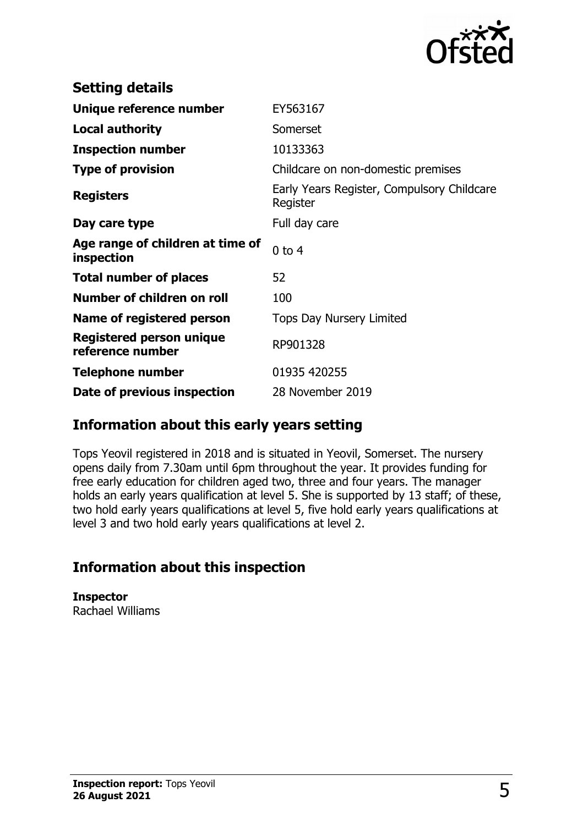

| <b>Setting details</b>                         |                                                        |
|------------------------------------------------|--------------------------------------------------------|
| Unique reference number                        | EY563167                                               |
| <b>Local authority</b>                         | Somerset                                               |
| <b>Inspection number</b>                       | 10133363                                               |
| <b>Type of provision</b>                       | Childcare on non-domestic premises                     |
| <b>Registers</b>                               | Early Years Register, Compulsory Childcare<br>Register |
| Day care type                                  | Full day care                                          |
| Age range of children at time of<br>inspection | $0$ to $4$                                             |
| <b>Total number of places</b>                  | 52                                                     |
| Number of children on roll                     | 100                                                    |
| Name of registered person                      | <b>Tops Day Nursery Limited</b>                        |
| Registered person unique<br>reference number   | RP901328                                               |
| <b>Telephone number</b>                        | 01935 420255                                           |
| Date of previous inspection                    | 28 November 2019                                       |

### **Information about this early years setting**

Tops Yeovil registered in 2018 and is situated in Yeovil, Somerset. The nursery opens daily from 7.30am until 6pm throughout the year. It provides funding for free early education for children aged two, three and four years. The manager holds an early years qualification at level 5. She is supported by 13 staff; of these, two hold early years qualifications at level 5, five hold early years qualifications at level 3 and two hold early years qualifications at level 2.

# **Information about this inspection**

**Inspector** Rachael Williams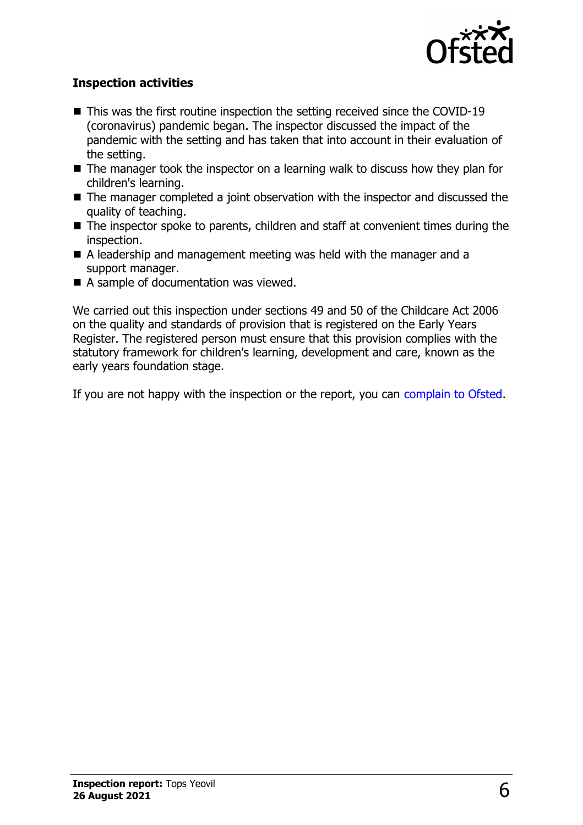

#### **Inspection activities**

- $\blacksquare$  This was the first routine inspection the setting received since the COVID-19 (coronavirus) pandemic began. The inspector discussed the impact of the pandemic with the setting and has taken that into account in their evaluation of the setting.
- $\blacksquare$  The manager took the inspector on a learning walk to discuss how they plan for children's learning.
- $\blacksquare$  The manager completed a joint observation with the inspector and discussed the quality of teaching.
- $\blacksquare$  The inspector spoke to parents, children and staff at convenient times during the inspection.
- A leadership and management meeting was held with the manager and a support manager.
- $\blacksquare$  A sample of documentation was viewed.

We carried out this inspection under sections 49 and 50 of the Childcare Act 2006 on the quality and standards of provision that is registered on the Early Years Register. The registered person must ensure that this provision complies with the statutory framework for children's learning, development and care, known as the early years foundation stage.

If you are not happy with the inspection or the report, you can [complain to Ofsted.](http://www.gov.uk/complain-ofsted-report)